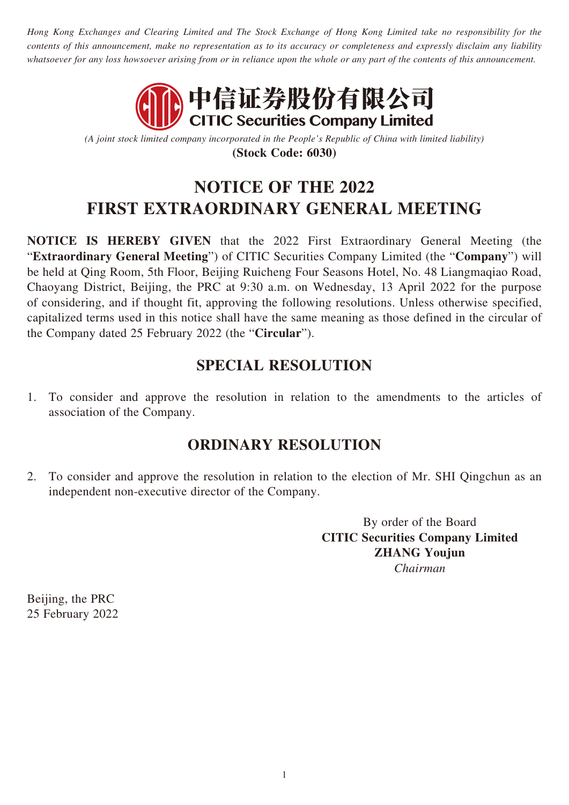*Hong Kong Exchanges and Clearing Limited and The Stock Exchange of Hong Kong Limited take no responsibility for the contents of this announcement, make no representation as to its accuracy or completeness and expressly disclaim any liability whatsoever for any loss howsoever arising from or in reliance upon the whole or any part of the contents of this announcement.*



*(A joint stock limited company incorporated in the People's Republic of China with limited liability)* **(Stock Code: 6030)**

## **NOTICE OF THE 2022 FIRST EXTRAORDINARY GENERAL MEETING**

**NOTICE IS HEREBY GIVEN** that the 2022 First Extraordinary General Meeting (the "**Extraordinary General Meeting**") of CITIC Securities Company Limited (the "**Company**") will be held at Qing Room, 5th Floor, Beijing Ruicheng Four Seasons Hotel, No. 48 Liangmaqiao Road, Chaoyang District, Beijing, the PRC at 9:30 a.m. on Wednesday, 13 April 2022 for the purpose of considering, and if thought fit, approving the following resolutions. Unless otherwise specified, capitalized terms used in this notice shall have the same meaning as those defined in the circular of the Company dated 25 February 2022 (the "**Circular**").

## **SPECIAL RESOLUTION**

1. To consider and approve the resolution in relation to the amendments to the articles of association of the Company.

## **ORDINARY RESOLUTION**

2. To consider and approve the resolution in relation to the election of Mr. SHI Qingchun as an independent non-executive director of the Company.

> By order of the Board **CITIC Securities Company Limited ZHANG Youjun** *Chairman*

Beijing, the PRC 25 February 2022